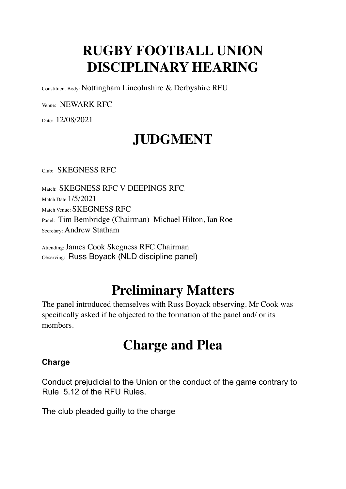## **RUGBY FOOTBALL UNION DISCIPLINARY HEARING**

Constituent Body: Nottingham Lincolnshire & Derbyshire RFU

Venue:. NEWARK RFC

Date: 12/08/2021

# **JUDGMENT**

Club: SKEGNESS RFC

Match: SKEGNESS RFC V DEEPINGS RFC. Match Date 1/5/2021 Match Venue: SKEGNESS RFC Panel: Tim Bembridge (Chairman) Michael Hilton, Ian Roe Secretary: Andrew Statham

Attending: James Cook Skegness RFC Chairman Observing: Russ Boyack (NLD discipline panel)

## **Preliminary Matters**

The panel introduced themselves with Russ Boyack observing. Mr Cook was specifically asked if he objected to the formation of the panel and/ or its members.

### **Charge and Plea**

#### **Charge**

Conduct prejudicial to the Union or the conduct of the game contrary to Rule 5.12 of the RFU Rules.

The club pleaded guilty to the charge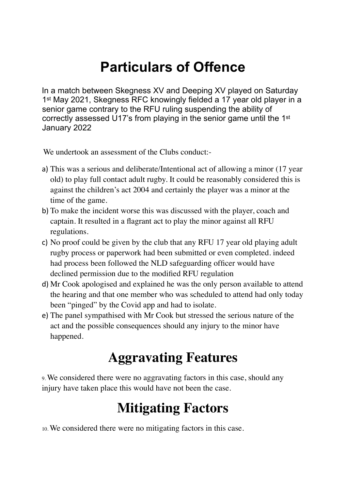## **Particulars of Offence**

In a match between Skegness XV and Deeping XV played on Saturday 1st May 2021, Skegness RFC knowingly fielded a 17 year old player in a senior game contrary to the RFU ruling suspending the ability of correctly assessed U17's from playing in the senior game until the 1st January 2022

We undertook an assessment of the Clubs conduct:-

- a) This was a serious and deliberate/Intentional act of allowing a minor (17 year old) to play full contact adult rugby. It could be reasonably considered this is against the children's act 2004 and certainly the player was a minor at the time of the game.
- b) To make the incident worse this was discussed with the player, coach and captain. It resulted in a flagrant act to play the minor against all RFU regulations.
- c) No proof could be given by the club that any RFU 17 year old playing adult rugby process or paperwork had been submitted or even completed. indeed had process been followed the NLD safeguarding officer would have declined permission due to the modified RFU regulation
- d) Mr Cook apologised and explained he was the only person available to attend the hearing and that one member who was scheduled to attend had only today been "pinged" by the Covid app and had to isolate.
- e) The panel sympathised with Mr Cook but stressed the serious nature of the act and the possible consequences should any injury to the minor have happened.

#### **Aggravating Features**

9. We considered there were no aggravating factors in this case, should any injury have taken place this would have not been the case.

## **Mitigating Factors**

10. We considered there were no mitigating factors in this case.